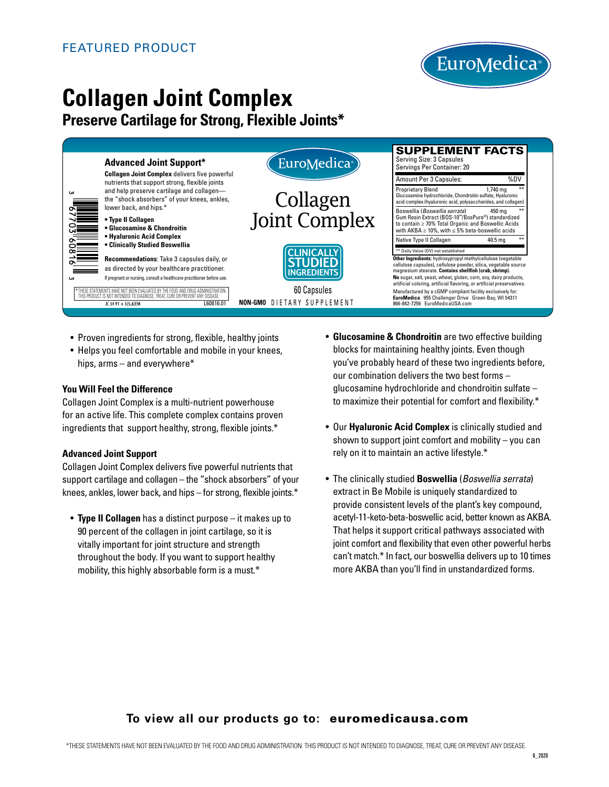

# **Collagen Joint Complex**

## **Preserve Cartilage for Strong, Flexible Joints\***



- Proven ingredients for strong, flexible, healthy joints
- Helps you feel comfortable and mobile in your knees, hips, arms – and everywhere\*

#### **You Will Feel the Difference**

Collagen Joint Complex is a multi-nutrient powerhouse for an active life. This complete complex contains proven ingredients that support healthy, strong, flexible joints.\*

#### **Advanced Joint Support**

Collagen Joint Complex delivers five powerful nutrients that support cartilage and collagen – the "shock absorbers" of your knees, ankles, lower back, and hips – for strong, flexible joints.\*

 • **Type II Collagen** has a distinct purpose – it makes up to 90 percent of the collagen in joint cartilage, so it is vitally important for joint structure and strength throughout the body. If you want to support healthy mobility, this highly absorbable form is a must.\*

- **Glucosamine & Chondroitin** are two effective building blocks for maintaining healthy joints. Even though you've probably heard of these two ingredients before, our combination delivers the two best forms – glucosamine hydrochloride and chondroitin sulfate – to maximize their potential for comfort and flexibility.\*
- Our **Hyaluronic Acid Complex** is clinically studied and shown to support joint comfort and mobility  $-$  you can rely on it to maintain an active lifestyle.\*
- The clinically studied **Boswellia** (*Boswellia serrata*) extract in Be Mobile is uniquely standardized to provide consistent levels of the plant's key compound, acetyl-11-keto-beta-boswellic acid, better known as AKBA. That helps it support critical pathways associated with joint comfort and flexibility that even other powerful herbs can't match.\* In fact, our boswellia delivers up to 10 times more AKBA than you'll find in unstandardized forms.

## **To view all our products go to:** euromedicausa.com